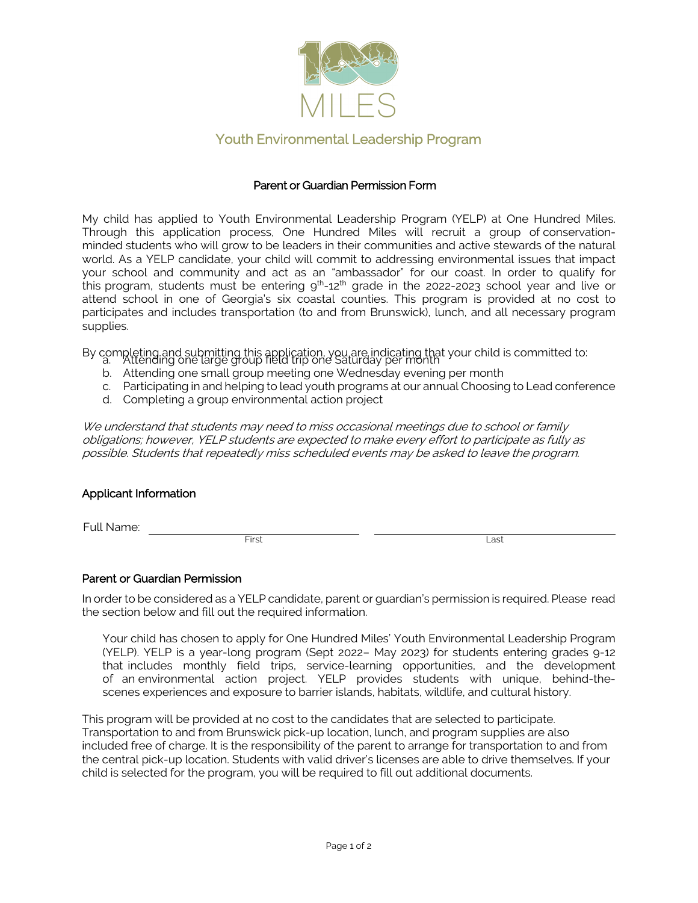

## Youth Environmental Leadership Program

#### Parent or Guardian Permission Form

My child has applied to Youth Environmental Leadership Program (YELP) at One Hundred Miles. Through this application process, One Hundred Miles will recruit a group of conservationminded students who will grow to be leaders in their communities and active stewards of the natural world. As a YELP candidate, your child will commit to addressing environmental issues that impact your school and community and act as an "ambassador" for our coast. In order to qualify for this program, students must be entering  $9^{th}$ -12<sup>th</sup> grade in the 2022-2023 school year and live or attend school in one of Georgia's six coastal counties. This program is provided at no cost to participates and includes transportation (to and from Brunswick), lunch, and all necessary program supplies.

By completing and submitting this application, you are indicating that your child is committed to: a. Attending one large group field trip one Saturday per month

- b. Attending one small group meeting one Wednesday evening per month
- c. Participating in and helping to lead youth programs at our annual Choosing to Lead conference
- d. Completing a group environmental action project

We understand that students may need to miss occasional meetings due to school or family obligations; however, YELP students are expected to make every effort to participate as fully as possible. Students that repeatedly miss scheduled events may be asked to leave the program.

#### Applicant Information

Full Name:

First Last

#### Parent or Guardian Permission

In order to be considered as a YELP candidate, parent or guardian's permission is required. Please read the section below and fill out the required information.

Your child has chosen to apply for One Hundred Miles' Youth Environmental Leadership Program (YELP). YELP is a year-long program (Sept 2022– May 2023) for students entering grades 9-12 that includes monthly field trips, service-learning opportunities, and the development of an environmental action project. YELP provides students with unique, behind-thescenes experiences and exposure to barrier islands, habitats, wildlife, and cultural history.

This program will be provided at no cost to the candidates that are selected to participate. Transportation to and from Brunswick pick-up location, lunch, and program supplies are also included free of charge. It is the responsibility of the parent to arrange for transportation to and from the central pick-up location. Students with valid driver's licenses are able to drive themselves. If your child is selected for the program, you will be required to fill out additional documents.